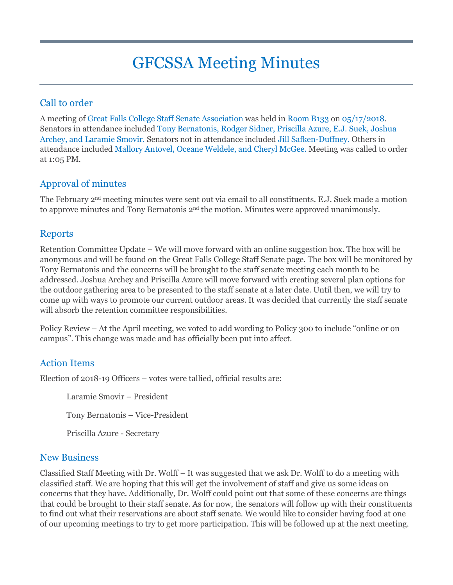# GFCSSA Meeting Minutes

### Call to order

A meeting of Great Falls College Staff Senate Association was held in Room B133 on 05/17/2018. Senators in attendance included Tony Bernatonis, Rodger Sidner, Priscilla Azure, E.J. Suek, Joshua Archey, and Laramie Smovir. Senators not in attendance included Jill Safken-Duffney. Others in attendance included Mallory Antovel, Oceane Weldele, and Cheryl McGee. Meeting was called to order at 1:05 PM.

#### Approval of minutes

The February 2nd meeting minutes were sent out via email to all constituents. E.J. Suek made a motion to approve minutes and Tony Bernatonis 2<sup>nd</sup> the motion. Minutes were approved unanimously.

#### Reports

Retention Committee Update – We will move forward with an online suggestion box. The box will be anonymous and will be found on the Great Falls College Staff Senate page. The box will be monitored by Tony Bernatonis and the concerns will be brought to the staff senate meeting each month to be addressed. Joshua Archey and Priscilla Azure will move forward with creating several plan options for the outdoor gathering area to be presented to the staff senate at a later date. Until then, we will try to come up with ways to promote our current outdoor areas. It was decided that currently the staff senate will absorb the retention committee responsibilities.

Policy Review – At the April meeting, we voted to add wording to Policy 300 to include "online or on campus". This change was made and has officially been put into affect.

#### Action Items

Election of 2018-19 Officers – votes were tallied, official results are:

Laramie Smovir – President

Tony Bernatonis – Vice-President

Priscilla Azure - Secretary

#### New Business

Classified Staff Meeting with Dr. Wolff – It was suggested that we ask Dr. Wolff to do a meeting with classified staff. We are hoping that this will get the involvement of staff and give us some ideas on concerns that they have. Additionally, Dr. Wolff could point out that some of these concerns are things that could be brought to their staff senate. As for now, the senators will follow up with their constituents to find out what their reservations are about staff senate. We would like to consider having food at one of our upcoming meetings to try to get more participation. This will be followed up at the next meeting.